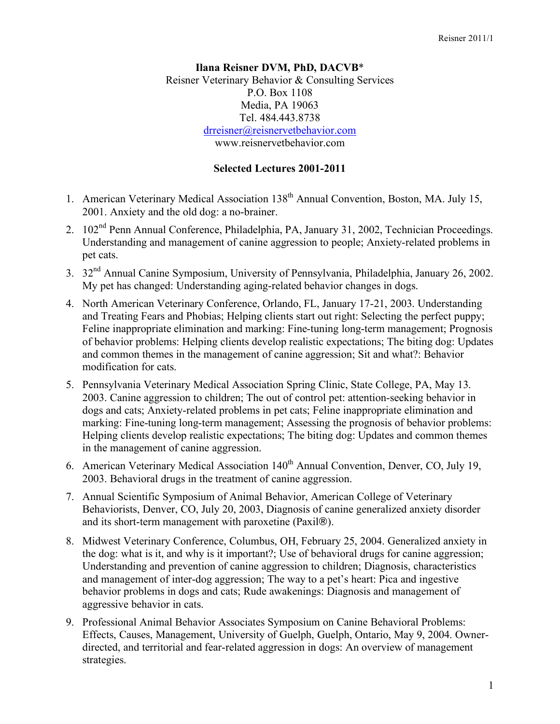## **Ilana Reisner DVM, PhD, DACVB**\* Reisner Veterinary Behavior & Consulting Services P.O. Box 1108 Media, PA 19063 Tel. 484.443.8738 drreisner@reisnervetbehavior.com www.reisnervetbehavior.com

## **Selected Lectures 2001-2011**

- 1. American Veterinary Medical Association 138<sup>th</sup> Annual Convention, Boston, MA. July 15, 2001. Anxiety and the old dog: a no-brainer.
- 2. 102<sup>nd</sup> Penn Annual Conference, Philadelphia, PA, January 31, 2002, Technician Proceedings. Understanding and management of canine aggression to people; Anxiety-related problems in pet cats.
- 3. 32nd Annual Canine Symposium, University of Pennsylvania, Philadelphia, January 26, 2002. My pet has changed: Understanding aging-related behavior changes in dogs.
- 4. North American Veterinary Conference, Orlando, FL, January 17-21, 2003. Understanding and Treating Fears and Phobias; Helping clients start out right: Selecting the perfect puppy; Feline inappropriate elimination and marking: Fine-tuning long-term management; Prognosis of behavior problems: Helping clients develop realistic expectations; The biting dog: Updates and common themes in the management of canine aggression; Sit and what?: Behavior modification for cats.
- 5. Pennsylvania Veterinary Medical Association Spring Clinic, State College, PA, May 13. 2003. Canine aggression to children; The out of control pet: attention-seeking behavior in dogs and cats; Anxiety-related problems in pet cats; Feline inappropriate elimination and marking: Fine-tuning long-term management; Assessing the prognosis of behavior problems: Helping clients develop realistic expectations; The biting dog: Updates and common themes in the management of canine aggression.
- 6. American Veterinary Medical Association 140<sup>th</sup> Annual Convention, Denver, CO, July 19, 2003. Behavioral drugs in the treatment of canine aggression.
- 7. Annual Scientific Symposium of Animal Behavior, American College of Veterinary Behaviorists, Denver, CO, July 20, 2003, Diagnosis of canine generalized anxiety disorder and its short-term management with paroxetine (Paxil®).
- 8. Midwest Veterinary Conference, Columbus, OH, February 25, 2004. Generalized anxiety in the dog: what is it, and why is it important?; Use of behavioral drugs for canine aggression; Understanding and prevention of canine aggression to children; Diagnosis, characteristics and management of inter-dog aggression; The way to a pet's heart: Pica and ingestive behavior problems in dogs and cats; Rude awakenings: Diagnosis and management of aggressive behavior in cats.
- 9. Professional Animal Behavior Associates Symposium on Canine Behavioral Problems: Effects, Causes, Management, University of Guelph, Guelph, Ontario, May 9, 2004. Ownerdirected, and territorial and fear-related aggression in dogs: An overview of management strategies.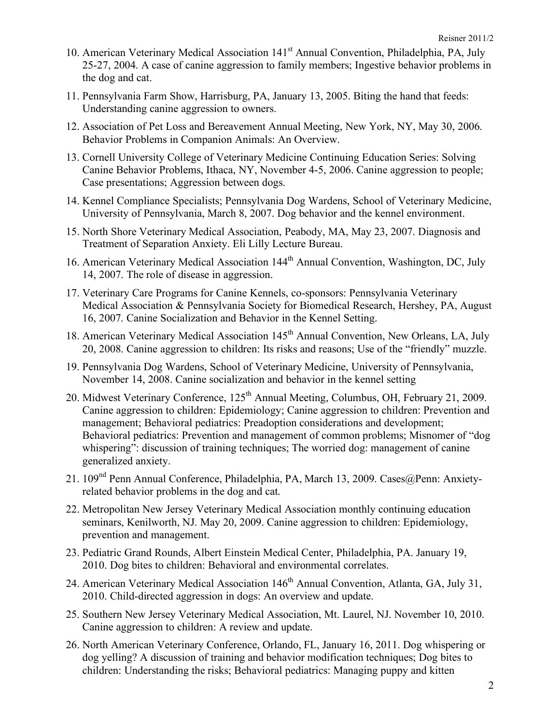- 10. American Veterinary Medical Association 141<sup>st</sup> Annual Convention, Philadelphia, PA, July 25-27, 2004. A case of canine aggression to family members; Ingestive behavior problems in the dog and cat.
- 11. Pennsylvania Farm Show, Harrisburg, PA, January 13, 2005. Biting the hand that feeds: Understanding canine aggression to owners.
- 12. Association of Pet Loss and Bereavement Annual Meeting, New York, NY, May 30, 2006. Behavior Problems in Companion Animals: An Overview.
- 13. Cornell University College of Veterinary Medicine Continuing Education Series: Solving Canine Behavior Problems, Ithaca, NY, November 4-5, 2006. Canine aggression to people; Case presentations; Aggression between dogs.
- 14. Kennel Compliance Specialists; Pennsylvania Dog Wardens, School of Veterinary Medicine, University of Pennsylvania, March 8, 2007. Dog behavior and the kennel environment.
- 15. North Shore Veterinary Medical Association, Peabody, MA, May 23, 2007. Diagnosis and Treatment of Separation Anxiety. Eli Lilly Lecture Bureau.
- 16. American Veterinary Medical Association 144<sup>th</sup> Annual Convention, Washington, DC, July 14, 2007. The role of disease in aggression.
- 17. Veterinary Care Programs for Canine Kennels, co-sponsors: Pennsylvania Veterinary Medical Association & Pennsylvania Society for Biomedical Research, Hershey, PA, August 16, 2007. Canine Socialization and Behavior in the Kennel Setting.
- 18. American Veterinary Medical Association 145<sup>th</sup> Annual Convention, New Orleans, LA, July 20, 2008. Canine aggression to children: Its risks and reasons; Use of the "friendly" muzzle.
- 19. Pennsylvania Dog Wardens, School of Veterinary Medicine, University of Pennsylvania, November 14, 2008. Canine socialization and behavior in the kennel setting
- 20. Midwest Veterinary Conference, 125<sup>th</sup> Annual Meeting, Columbus, OH, February 21, 2009. Canine aggression to children: Epidemiology; Canine aggression to children: Prevention and management; Behavioral pediatrics: Preadoption considerations and development; Behavioral pediatrics: Prevention and management of common problems; Misnomer of "dog whispering": discussion of training techniques; The worried dog: management of canine generalized anxiety.
- 21. 109<sup>nd</sup> Penn Annual Conference, Philadelphia, PA, March 13, 2009. Cases@Penn: Anxietyrelated behavior problems in the dog and cat.
- 22. Metropolitan New Jersey Veterinary Medical Association monthly continuing education seminars, Kenilworth, NJ. May 20, 2009. Canine aggression to children: Epidemiology, prevention and management.
- 23. Pediatric Grand Rounds, Albert Einstein Medical Center, Philadelphia, PA. January 19, 2010. Dog bites to children: Behavioral and environmental correlates.
- 24. American Veterinary Medical Association 146<sup>th</sup> Annual Convention, Atlanta, GA, July 31, 2010. Child-directed aggression in dogs: An overview and update.
- 25. Southern New Jersey Veterinary Medical Association, Mt. Laurel, NJ. November 10, 2010. Canine aggression to children: A review and update.
- 26. North American Veterinary Conference, Orlando, FL, January 16, 2011. Dog whispering or dog yelling? A discussion of training and behavior modification techniques; Dog bites to children: Understanding the risks; Behavioral pediatrics: Managing puppy and kitten